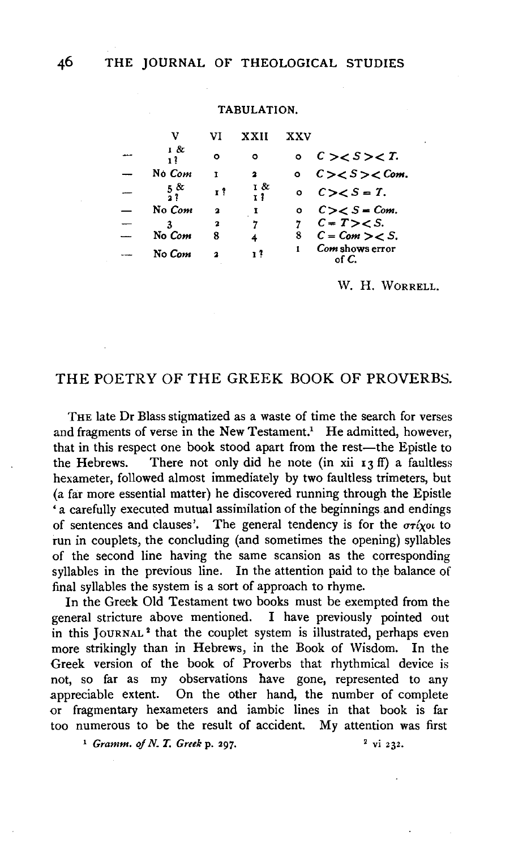### TABULATION.

| v               | Vī           | <b>XXII</b> | xxv     |                           |
|-----------------|--------------|-------------|---------|---------------------------|
| 1 &<br>12       | O            | ٥           |         | C > <i>S</i> > <i>T</i> . |
| No Com          | T            | 2           | $\circ$ | $C>S<$ Com.               |
| $\frac{5}{3}$ & | r ?          | 1 &<br>1 I  | ۰       | $C > S = T.$              |
| No Com          | $\mathbf{a}$ | I           | ۰       | $C>S=Com.$                |
|                 | 2            | 7           |         | $C = T > S$ .             |
| No Com          | 8            | 4           | 8       | $C = Com > < S$ .         |
| No Com          | $\mathbf{a}$ | 1 T         |         | Com shows error<br>of C   |

W. H. WORRELL.

## THE POETRY OF THE GREEK BOOK OF PROVERBS.

THE late Dr Blass stigmatized as a waste of time the search for verses and fragments of verse in the New Testament.<sup>1</sup> He admitted, however, that in this respect one book stood apart from the rest-the Epistle to the Hebrews. There not only did he note (in xii  $I_3$  ff) a faultless hexameter, followed almost immediately by two faultless trimeters, but (a far more essential matter) he discovered running through the Epistle ' a carefully executed mutual assimilation of the beginnings and endings of sentences and clauses'. The general tendency is for the  $\sigma r$ *ixot* to run in couplets, the concluding (and sometimes the opening) syllables of the second line having the same scansion as the corresponding syllables in the previous line. In the attention paid to the balance of final syllables the system is a sort of approach to rhyme.

In the Greek Old Testament two books must be exempted from the general stricture above mentioned. I have previously pointed out in this JouRNAL 2 that the couplet system is illustrated, perhaps even more strikingly than in Hebrews, in the Book of Wisdom. In the Greek version of the book of Proverbs that rhythmical device is not, so far as my observations have gone, represented to any appreciable extent. On the other hand, the number of complete or fragmentary hexameters and iambic lines in that book is far too numerous to be the result of accident. My attention was first

<sup>1</sup> *Gramm. of N. T. Greek p. 297.* <sup>2</sup> vi 232.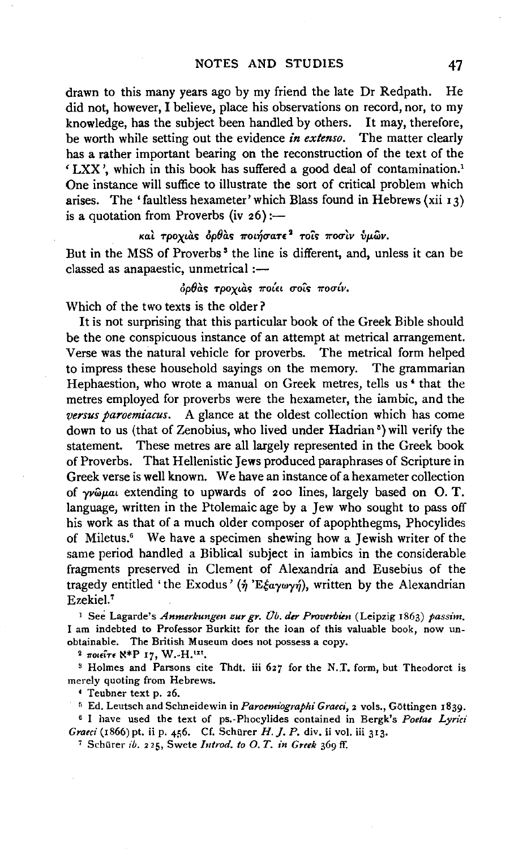drawn to this many years ago by my friend the late Dr Redpath. He did not, however, I believe, place his observations on record, nor, to my knowledge, has the subject been handled by others. It may, therefore, be worth while setting out the evidence *in extenso.* The matter clearly has a rather important bearing on the reconstruction of the text of the ' LXX', which in this book has suffered a good deal of contamination.' One instance will suffice to illustrate the sort of critical problem which arises. The 'faultless hexameter' which Blass found in Hebrews (xii  $13$ ) is a quotation from Proverbs (iv  $26$ ):-

## και τροχιας ορθας ποιήσατε<sup>2</sup> τοις ποσιν ύμων.

But in the MSS of Proverbs<sup>3</sup> the line is different, and, unless it can be classed as anapaestic, unmetrical :-

## όρθας τροχιας ποίει σοις ποσίν.

Which of the *two* texts is the older?

It is not surprising that this particular book of the Greek Bible should be the one conspicuous instance of an attempt at metrical arrangement. Verse was the natural vehicle for proverbs. The metrical form helped to impress these household sayings on the memory. The grammarian Hephaestion, who wrote a manual on Greek metres, tells us • that the metres employed for proverbs were the hexameter, the iambic, and the *versus paroemiacus.* A glance at the oldest collection which has come down to us (that of Zenobius, who lived under Hadrian<sup>5</sup>) will verify the statement. These metres are all largely represented in the Greek book of Proverbs. That Hellenistic Jews produced paraphrases of Scripture in Greek verse is well known. We have an instance of a hexameter collection of  $\gamma\nu\hat{\omega}\mu\omega$  extending to upwards of 200 lines, largely based on O.T. language, written in the Ptolemaic age by a Jew who sought to pass off his work as that of a much older composer of apophthegms, Phocylides of Miletus.• We have a specimen shewing how a Jewish writer of the same period handled a Biblical subject in iambics in the considerable fragments preserved in Clement of Alexandria and Eusebius of the tragedy entitled 'the Exodus' ( $\eta$ 'E $\xi$ a $\gamma\omega\gamma\eta$ ), written by the Alexandrian Ezekiel.7

<sup>I</sup>See Lagarde's *Anmerkungen zur gr. Ob. der Proverbim* (Leipzig 1863) *passim.*  I am indebted to Professor Burkitt for the loan of this valuable book, now unobtainable. The British Museum does not possess a copy.

<sup>2</sup> Tolei<sup>T</sup>f  $\aleph^*P$  17, W.-H.<sup>1xt</sup>.<br><sup>3</sup> Holmes and Parsons cite Thdt. iii 627 for the N.T. form, but Theodoret is merely quoting from Hebrews.

• Teubner text p. 26.

<sup>5</sup> Ed. Leutsch and Schneidewin in *Paroemiographi Graeci*, 2 vols., Göttingen 1839.

e I have used the text of ps.-Phocylides contained in Bergk's *Poetae Lyrici Graeci* (1866) pt. ii p. 456. Cf. Schürer *H. J. P.* div. ii vol. iii 313.

<sup>7</sup> Schürer ib. 225, Swete *Introd. to O. T. in Greek* 369 ff.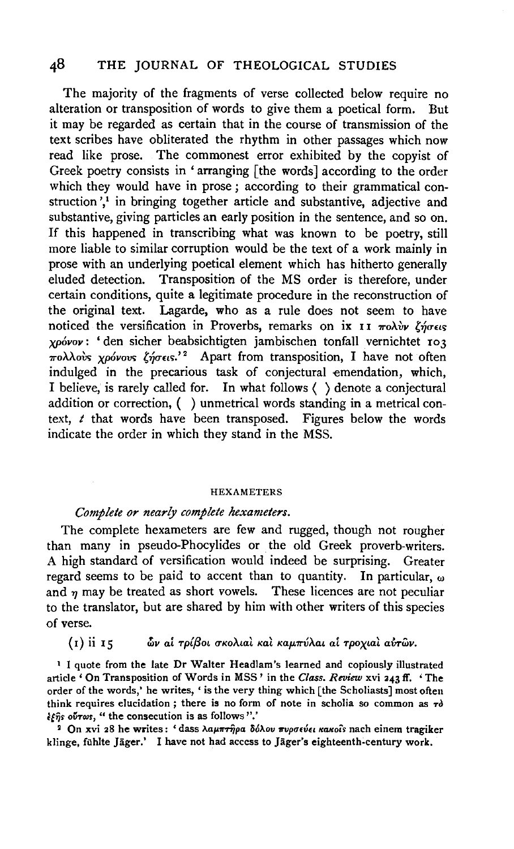# 48 THE JOURNAL OF THEOLOGICAL STUDIES

The majority of the fragments of verse collected below require no alteration or transposition of words to give them a poetical form. But it may be regarded as certain that in the course of transmission of the text scribes have obliterated the rhythm in other passages which now read like prose. The commonest error exhibited by the copyist of Greek poetry consists in ' arranging [the words] according to the order which they would have in prose; according to their grammatical construction',<sup>1</sup> in bringing together article and substantive, adjective and substantive, giving particles an early position in the sentence, and so on. If this happened in transcribing what was known to be poetry, still more liable to similar corruption would be the text of a work mainly in prose with an underlying poetical element which has hitherto generally eluded detection. Transposition of the MS order is therefore, under certain conditions, quite a legitimate procedure in the reconstruction of the original text. Lagarde, who as a rule does not seem to have noticed the versification in Proverbs, remarks on ix  $\mathbf{I}$  I  $\pi$ o $\lambda$ *iv*  $\ell$ *no* $\epsilon$ cs; *XPovov:* 'den sicher beabsichtigten jambischen tonfall vernichtet 103 ?roAAovc; *XP6vovc;* {~rr£tc;.' 2 Apart from transposition, I have not often indulged in the precarious task of conjectural emendation, which, I believe, is rarely called for. In what follows ( ) denote a conjectural addition or correction, ( ) unmetrical words standing in a metrical context, *t* that words have been transposed. Figures below the words indicate the order in which they stand in the MSS.

#### HEXAMETERS

### *Complete or nearly complete hexamelers.*

The complete hexameters are few and rugged, though not rougher than many in pseudo-Phocylides or the old Greek proverb-writers. A high standard of versification would indeed be surprising. Greater regard seems to be paid to accent than to quantity. In particular, *w*  and  $\eta$  may be treated as short vowels. These licences are not peculiar to the translator, but are shared by him with other writers of this species of verse.

### (I) ii I5 *δv ai τρίβοι σκολιαλ καλ καμπύλαι αί τροχιαλ αύτων.*

<sup>1</sup> I quote from the late Dr Walter Headlam's learned and copiously illustrated article ' On Transposition of Words in MSS' in the *Class. Review* xvi 243 ff. 'The order of the words,' he writes, 'is the very thing which [the Scholiasts] most often think requires elucidation; there is no form of note in scholia so common as  $\tau \delta$  $\frac{1}{2}$ if  $\frac{1}{2}$  over  $\frac{1}{2}$  ... (the consecution is as follows ''.'

<sup>2</sup> On xvi 28 he writes: 'dass λαμπτήρα δόλου πυρσεύει κακοίs nach einem tragiker klinge, fühlte Jäger.' I have not had access to Jäger's eighteenth-century work.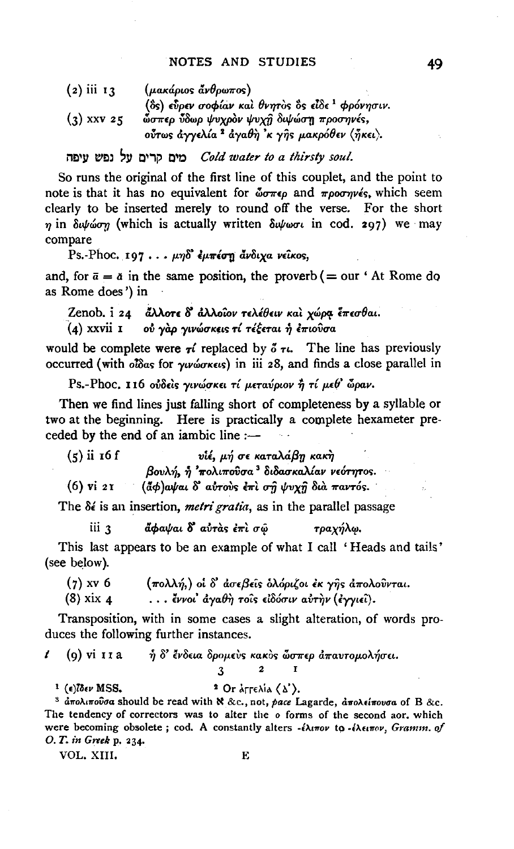| $(2)$ iii 13 | $(\mu$ aκάριος άνθρωπος)                                 |
|--------------|----------------------------------------------------------|
|              | (δς) εύρεν σοφίαν και θνητος δς είδε $^1$ φρόνησιν.      |
| $(3)$ xxv 25 | ώσπερ ύδωρ ψυχρόν ψυχή διψώση προσηνές,                  |
|              | ούτως άγγελία <sup>2</sup> άγαθη 'κ γής μακρόθεν (ήκει). |

### Cold water to a thirsty soul.

So runs the original of the first line of this couplet, and the point to note is that it has no equivalent for  $\mathbf{w}$   $\pi\epsilon\rho$  and  $\pi\rho$ oo $\pi\gamma\epsilon\epsilon$ , which seem clearly to be inserted merely to round off the verse. For the short  $\eta$  in  $\delta \psi \omega \sigma \eta$  (which is actually written  $\delta \psi \omega \sigma \iota$  in cod. 297) we may compare

Ps.-Phoc. 197... μηδ' έμπέση άνδιχα νείκος,

and, for  $\bar{a} = \bar{a}$  in the same position, the proverb (= our 'At Rome do as Rome does') in

Zenob. i 24 άλλοτε δ' άλλοιον τελέθειν και χώρα έπεσθαι. (4) xxvii 1 où γαρ γινώσκεις τί τέξεται ή επιούσα

would be complete were  $\tau i$  replaced by  $\delta \tau i$ . The line has previously occurred (with oldas for *ywwares*) in iii 28, and finds a close parallel in

Ps.-Phoc. 116 ούδείς γινώσκει τί μεταύριον ή τί μεθ' ώραν.

Then we find lines just falling short of completeness by a syllable or two at the beginning. Here is practically a complete hexameter preceded by the end of an iambic line :-

 $(5)$  ii 16 f υίέ, μή σε καταλάβη κακή βουλή, ή 'πολιπούσα<sup>3</sup> διδασκαλίαν νεότητος. (άφ) αψαι δ' αύτους επι ση ψυχη δια παντός.  $(6)$  vi 21

The  $\delta \epsilon$  is an insertion, *metri gratia*, as in the parallel passage

άφαψαι δ' αύτας έπι σώ iii 3 τραχήλω.

This last appears to be an example of what I call 'Heads and tails' (see below).

- $(7)$  xv 6 (πολλή,) οι δ' άσεβεις ολόριζοι έκ γης απολούνται.
- $(8)$  xix 4 ... έννοι' άγαθη τους είδόσιν αύτην (έγγιει).

Transposition, with in some cases a slight alteration, of words produces the following further instances.

- $\mathbf{r}$ (9) vi 11 a ή δ' ένδεια δρομεύς κακός ώσπερ άπαυτομολήσει.
	- $\overline{2}$ 3

<sup>1</sup> ( $\epsilon$ ) $\delta \epsilon \nu$  MSS.

<sup>2</sup> Or  $\lambda \in \Lambda$  ( $\lambda$ ). <sup>3</sup> άπολιπούσα should be read with N &c., not, pace Lagarde, άπολείπουσα of B &c. The tendency of correctors was to alter the o forms of the second aor, which

were becoming obsolete; cod. A constantly alters -έλιπον to -έλειπον, Gramm. of O. T. in Greek p. 234. Е

VOL. XIII.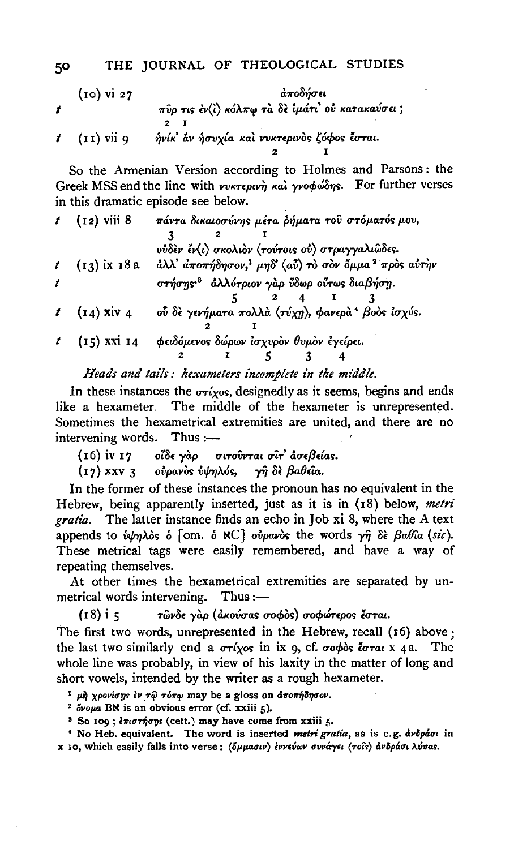### THE JOURNAL OF THEOLOGICAL STUDIES

| $(10)$ vi 27             | άποδήσει                                       |
|--------------------------|------------------------------------------------|
|                          | πύρ τις έν(ι) κόλπω τα δε ίμάτι ού κατακαύσει; |
|                          |                                                |
| $t$ $(\mathbf{I})$ vii 9 | ήνίκ' αν ήσυχία και νυκτερινος ζόφος έσται.    |
|                          |                                                |

So the Armenian Version according to Holmes and Parsons: the Greek MSS end the line with νυκτερινή και γνοφώδης. For further verses in this dramatic episode see below.

| $(12)$ viii 8   | πάντα δικαιοσύνης μέτα ρήματα του στόματός μου,                             |
|-----------------|-----------------------------------------------------------------------------|
|                 |                                                                             |
|                 | ούδεν έν(ι) σκολιόν (τούτοις ού) στραγγαλιώδες.                             |
| $(13)$ ix $18a$ | άλλ' αποπήδησον, <sup>1</sup> μηδ' (αύ) το σον όμμα <sup>2</sup> προς αύτην |
|                 | στήσης <sup>3</sup> άλλότριον γαρ ύδωρ ούτως διαβήση.                       |
|                 |                                                                             |
| $t$ (14) xiv 4  | ού δε γενήματα πολλά (τύχη), φανερά <sup>ι</sup> βοδς ίσχύς.                |
|                 |                                                                             |
| $t$ (15) xxi 14 | φειδόμενος δώρων ισχυρον θυμον εγείρει.                                     |
|                 |                                                                             |
|                 |                                                                             |

Heads and tails: hexameters incomplete in the middle.

In these instances the  $\sigma r$ *i* $\gamma$ *os*, designedly as it seems, begins and ends like a hexameter. The middle of the hexameter is unrepresented. Sometimes the hexametrical extremities are united, and there are no intervening words. Thus :-

σιτοῢνται σῖτ' ἀσεβείας.  $(16)$  iv  $17$ οἴδε γὰρ

 $(17)$  XXV 3 oυρανός υψηλός, γῆ δὲ βαθεῖα.

In the former of these instances the pronoun has no equivalent in the Hebrew, being apparently inserted, just as it is in (18) below, metri gratia. The latter instance finds an echo in Job xi 8, where the A text appends to *inhalos*  $\delta$  [om.  $\delta$  NC] *oupavos* the words  $\gamma \hat{\eta}$   $\delta \hat{\epsilon}$   $\beta a \theta a$  (sic). These metrical tags were easily remembered, and have a way of repeating themselves.

At other times the hexametrical extremities are separated by unmetrical words intervening. Thus :-

τώνδε γάρ (άκούσας σοφός) σοφώτερος έσται.  $(18)$  i 5

The first two words, unrepresented in the Hebrew, recall (16) above ; the last two similarly end a  $\sigma r(x)$  in ix 9, cf.  $\sigma \circ \phi$ os is  $\sigma \tau a \cdot x$  4a. The whole line was probably, in view of his laxity in the matter of long and short vowels, intended by the writer as a rough hexameter.

<sup>1</sup> μή χρονίσης έν τώ τόπω may be a gloss on αποπήδησον.

<sup>2</sup> ovous BN is an obvious error (cf. xxiii 5).

<sup>3</sup> So 109; επιστήσης (cett.) may have come from xxiii 5.

<sup>4</sup> No Heb. equivalent. The word is inserted metri gratia, as is e.g. dvopáou in x 10, which easily falls into verse: (όμμασιν) εννεύων συνάγει (τοίς) ανδράσι λύπας.

50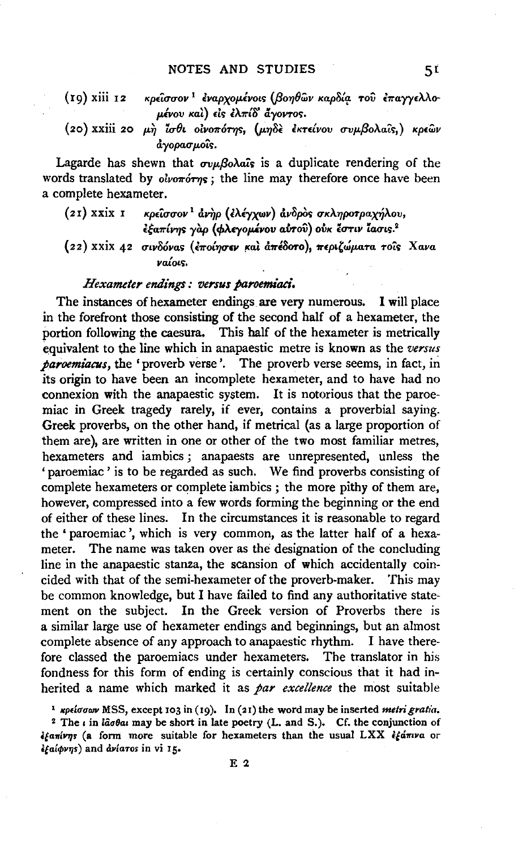- $(19)$  xiii  $12$ κρείσσον<sup>1</sup> έναρχομένοις (βοηθών καρδία του έπαγγελλομένου και) είς έλπίδ άγοντος.
- (20) XXIII 20 μη ίσθι οίνοπότης, (μηδε εκτείνου συμβολαΐς,) κρεών άγορασμοΐς.

Lagarde has shewn that  $\sigma v \mu \beta_o \lambda a \hat{i} s$  is a duplicate rendering of the words translated by *olvororns*; the line may therefore once have been a complete hexameter.

- $(21)$  xxix  $1$ κρείσσον<sup>1</sup> άνηρ (ελέγχων) άνδρος σκληροτραχήλου, εξαπίνης γαρ (φλεγομένου αύτου) ούκ έστιν ίασις.<sup>2</sup>
- (22) XXIX 42 σινδόνας (εποίησεν και απέδοτο), περιζώματα τοις Χανα ναίοις.

### Hexameter endings: versus paroemiaci.

The instances of hexameter endings are very numerous. I will place in the forefront those consisting of the second half of a hexameter, the portion following the caesura. This half of the hexameter is metrically equivalent to the line which in anapaestic metre is known as the versus *paroemiacus*, the 'proverb verse'. The proverb verse seems, in fact, in its origin to have been an incomplete hexameter, and to have had no connexion with the anapaestic system. It is notorious that the paroemiac in Greek tragedy rarely, if ever, contains a proverbial saying. Greek proverbs, on the other hand, if metrical (as a large proportion of them are), are written in one or other of the two most familiar metres, hexameters and iambics; anapaests are unrepresented, unless the 'paroemiac' is to be regarded as such. We find proverbs consisting of complete hexameters or complete jambics ; the more pithy of them are. however, compressed into a few words forming the beginning or the end of either of these lines. In the circumstances it is reasonable to regard the 'paroemiac', which is very common, as the latter half of a hexameter. The name was taken over as the designation of the concluding line in the anapaestic stanza, the scansion of which accidentally coincided with that of the semi-hexameter of the proverb-maker. This may be common knowledge, but I have failed to find any authoritative statement on the subject. In the Greek version of Proverbs there is a similar large use of hexameter endings and beginnings, but an almost complete absence of any approach to anapaestic rhythm. I have therefore classed the paroemiacs under hexameters. The translator in his fondness for this form of ending is certainly conscious that it had inherited a name which marked it as par excellence the most suitable

<sup>1</sup> *Kpelovan* MSS, except 103 in (19). In (21) the word may be inserted *metri gratia*.

<sup>2</sup> The  $\iota$  in lâotal may be short in late poetry (L. and S.). Cf. the conjunction of  $i$ fanívns (a form more suitable for hexameters than the usual LXX  $i$ fániva or éfaiovns) and dviaros in vi 15.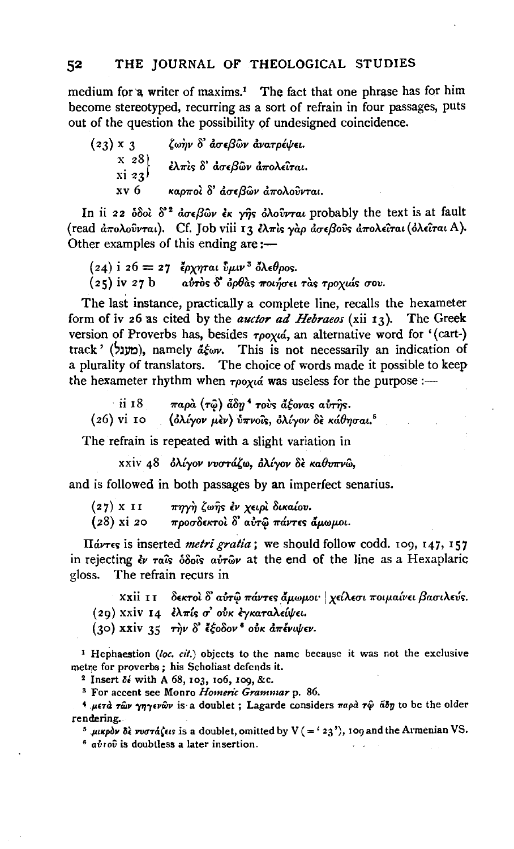medium for a writer of maxims.<sup>1</sup> The fact that one phrase has for him become stereotyped, recurring as a sort of refrain in four passages, puts out of the question the possibility of undesigned coincidence.

| $(23) \times 3$                                                  | ζωήν δ' άσεβων άνατρέψει.    |
|------------------------------------------------------------------|------------------------------|
| $\mathbf{x}$ 28)<br>$\overline{X}$ $\overline{z}$ $\overline{z}$ | έλπις δ' άσεβων απολείται.   |
| xv 6                                                             | καρποί δ' άσεβων άπολούνται. |

In ii 22  $\delta \delta$ oì  $\delta^2$   $d\sigma \epsilon \beta$ ων έκ γής  $\delta \lambda$ ούνται probably the text is at fault (read  $\frac{\partial \pi}{\partial \theta}$ ούνται). Cf. Job viii 13 ελπίς γάρ ασεβούς απολείται (όλειται A). Other examples of this ending are:-

```
(24) i 26 = 27 έρχηται \hat{v} \mu \nu<sup>3</sup> όλεθρος.
(z<sub>5</sub>) iv 27 b avros \delta oplas ποιήσει τας τροχιάς σου.
```
The last instance, practically a complete line, recalls the hexameter form of iv 26 as cited by the *auctor ad Hebraeos* (xii  $r_3$ ). The Greek version of Proverbs has, besides  $\tau\rho o\chi\omega'$ , an alternative word for '(cart-) track' (מענל), namely  $d\xi_{\omega\nu}$ . This is not necessarily an indication of a plurality of translators. The choice of words made it possible to keep the hexameter rhythm when  $\tau\rho_{0}\gamma a$  was useless for the purpose :-

ii 18 παρά (τῷ) ἆδη<sup>4</sup> τους ἄξονας αυτής. (26) vi το (ολίγον μεν) ύπνοΐς, ολίγον δε κάθησαι.<sup>5</sup>

The refrain is repeated with a slight variation in

xxiv 48 ολίγον νυστάζω, ολίγον δε καθυπνώ,

and is followed in both passages by an imperfect senarius.

| (27) x 11  | πηγὴ ζωῆς ἐν χειρὶ δικαίου.       |
|------------|-----------------------------------|
| (28) xi 20 | προσδεκτοί δ' αύτω πάντες άμωμοι. |

Hávres is inserted *metri gratia*; we should follow codd. 109, 147, 157 in rejecting  $\dot{\mathbf{c}}$  rais  $\delta \delta \hat{\mathbf{o}}$  avro at the end of the line as a Hexaplaric gloss. The refrain recurs in

XXII II δεκτοί δ' αύτω πάντες άμωμοι· | χείλεσι ποιμαίνει βασιλεύς. (29) XXIV 14 ελπίς σ' ούκ εγκαταλείψει. (30) xxiv 35 την δ' έξοδον<sup>6</sup> ούκ απένιψεν.

<sup>1</sup> Hephaestion (loc. cit.) objects to the name because it was not the exclusive metre for proverbs; his Scholiast defends it.

<sup>2</sup> Insert  $\delta \epsilon$  with A 68, 103, 106, 109, &c.

<sup>3</sup> For accent see Monro Homeric Grammar p. 86.

<sup>4</sup> μετά των γηγενών is a doublet; Lagarde considers παρά τψ άδη to be the older rendering.

<sup>5</sup> μικρόν δε νυστάζειs is a doublet, omitted by  $V = {23<sup>7</sup>}$ , 109 and the Armenian VS.

 $6$   $a\dot{v}$  ro $\hat{v}$  is doubtless a later insertion.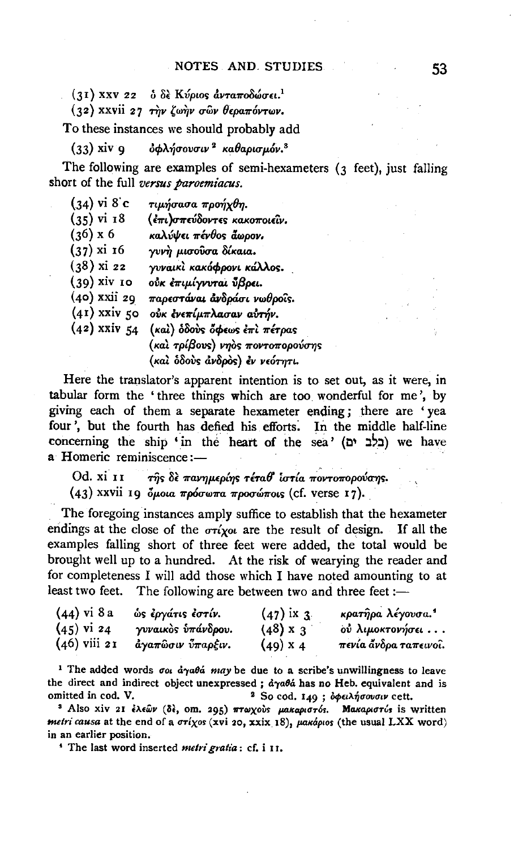$(31)$  XXV 22 δ δε Κύριος άνταποδώσει.<sup>1</sup>

 $(32)$  xxvii 27 την ζωήν σῶν θεραπόντων.

To these instances we should probably add

 $(33)$  xiv q  $\delta \phi \lambda \acute{\eta} \sigma$ ουσιν <sup>2</sup> καθαρισμόν.<sup>3</sup>

The following are examples of semi-hexameters  $(3 \text{ feet})$ , just falling short of the full versus paroemiacus.

 $(34)$  vi 8 c τιμήσασα προήγθη.  $(35)$  vi  $18$ (έπι)σπεύδοντες κακοποιεΐν.  $(36)$  x 6 καλύψει πένθος άωρον. γυνή μισούσα δίκαια.  $(37)$  xi 16  $(38)$  xi 22 γυναικί κακόφρονι κάλλος. (39) xiv το ούκ επιμίγνυται ύβρει. (40) xxii 29 παρεστάναι ανδράσι νωθροΐς.  $(41)$  xxiv 50 ούκ ένεπίμπλασαν αύτήν.  $(42)$  xxiv 54 (και) δδούς όφεως επι πέτρας (και τρίβους) νηὸς ποντοπορούσης (και όδους άνδρος) έν νεότητι.

Here the translator's apparent intention is to set out, as it were, in tabular form the 'three things which are too wonderful for me', by giving each of them a separate hexameter ending; there are 'yea four', but the fourth has defied his efforts. In the middle half-line concerning the ship 'in the heart of the sea' (בלב ים) we have a Homeric reminiscence:-

Od. xi 11 της δε πανημερίης τέταθ ίστία ποντοπορούσης.  $(43)$  xxvii 19 δμοια πρόσωπα προσώποις (cf. verse 17).

The foregoing instances amply suffice to establish that the hexameter endings at the close of the  $\sigma r$ ixou are the result of design. If all the examples falling short of three feet were added, the total would be brought well up to a hundred. At the risk of wearying the reader and for completeness I will add those which I have noted amounting to at least two feet. The following are between two and three feet :-

| $(44)$ vi 8 a  | ώς έργάτις έστίν.  | $(47)$ ix 3     | κρατήρα λέγουσα. <sup>4</sup> |
|----------------|--------------------|-----------------|-------------------------------|
| $(45)$ vi 24   | γυναικὸς ὑπάνδρου. | $(48) \times 3$ | ού λιμοκτονήσει               |
| $(46)$ viii 21 | άγαπὣσιν ὖπαρξιν.  | $(49)$ x 4      | πενία άνδρα ταπεινοι.         |

<sup>1</sup> The added words  $\sigma$ ou  $d\gamma a\theta d$  may be due to a scribe's unwillingness to leave the direct and indirect object unexpressed; ayaba has no Heb. equivalent and is omitted in cod. V. <sup>2</sup> So cod. 149 ; δφειλήσουσιν cett.

<sup>3</sup> Also xiv 21 έλεων (δέ, om. 295) πτωχούς μακαριστός. Maκαριστύs is written metri causa at the end of a στίχος (xvi 20, xxix 18), μακάριος (the usual LXX word) in an earlier position.

<sup>4</sup> The last word inserted metri gratia: cf. i II.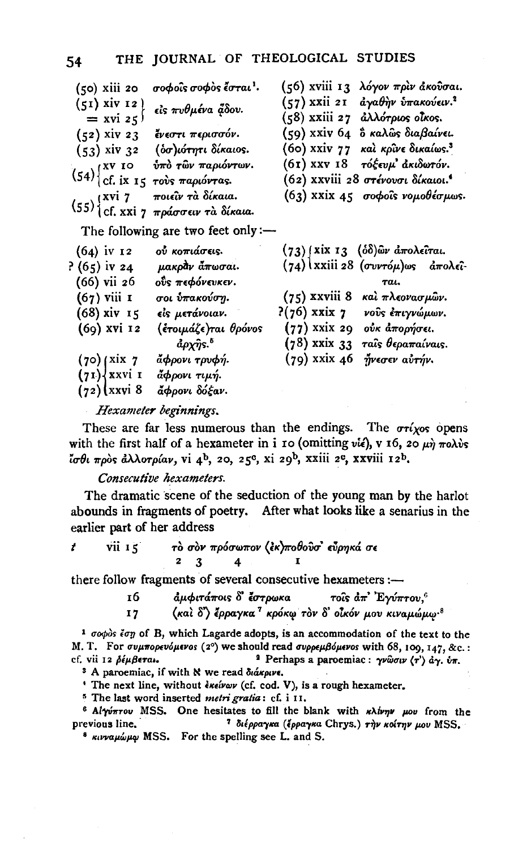| (50) xiii 20                              | σοφοΐς σοφὸς ἔσται <sup>ι</sup> .                                                  | (56) xviii 13 λόγον πριν άκουσαι.             |
|-------------------------------------------|------------------------------------------------------------------------------------|-----------------------------------------------|
| $(51)$ xiv 12)                            | εἰς πυθμένα ἄδου.                                                                  | (57) xxii 21 αγαθήν υπακούειν. <sup>2</sup>   |
| $=$ xvi 25 <sup>1</sup>                   |                                                                                    | (58) xxiii 27 <i>ἀλλότριο</i> s οἶκοs.        |
| $(52)$ xiv 23                             | ένεστι περισσόν.                                                                   | (59) xxiv 64 δ καλῶς διαβαίνει.               |
| $(53)$ xiv 32                             | (δσ)ιότητι δίκαιος.                                                                | (60) xxiv 77 και κρίνε δικαίως. <sup>3</sup>  |
|                                           | ύπὸ τῶν παριόντων.                                                                 | (61) XXV 18 τόξευμ' ακιδωτόν.                 |
| $(54)$ $\begin{cases}$ xv 10<br>cf. ix 15 | τούς παριόντας.                                                                    | (62) XXVIII 28 στένουσι δίκαιοι. <sup>4</sup> |
|                                           | ποιεῖν τὰ δίκαια.                                                                  | $(63)$ xxix 45 σοφοΐς νομοθέσμως.             |
|                                           | $(55)\begin{cases} xvi$ 7 ποιεῖν τὰ δίκαια.<br>(55) (cf. xxi 7 πράσσειν τὰ δίκαια. |                                               |
|                                           | The following are two feet only :-                                                 |                                               |
| $(64)$ iv 12                              | ού κοπιάσεις.                                                                      | (73) (xix 13 (δδ)ων άπολεῖται.                |
| $(65)$ iv 24                              | μακράν άπωσαι.                                                                     | $(74)$ (xxiii 28 (συντόμ)ως απολεί-           |
| (66) vii 26                               | οΰς πεφόνευκεν.                                                                    | Tai.                                          |
| $(67)$ viii 1                             | σοι ύπακούση.                                                                      | καὶ πλεονασμῶν.<br>$(75)$ xxviii 8            |
| (68) xiv 15                               | εἰς μετάνοιαν.                                                                     | $P(76)$ xxix $7$<br>νούς έπιγνώμων.           |
| $(69)$ xvi 12                             | (ἐτοιμάζε)ται θρόνοs                                                               | $(77)$ xxix 29<br>ούκ άπορήσει.               |
|                                           | $a\rho\chi\hat\eta$ s. $^5$                                                        | $(78)$ xxix 33<br>ταῖς θεραπαίναις.           |
| (70)(xix)                                 | άφρονι τρυφή.                                                                      | $(79)$ xxix 46<br>ήνεσεν αὐτήν.               |
| (71) xxvi 1                               | ἄφρονι τιμή.                                                                       |                                               |
| $(72)(xxv)$ 8                             | ἄφρονι δόξαν.                                                                      |                                               |

Hexameter beginnings.

These are far less numerous than the endings. The  $\sigma r$  (xos opens with the first half of a hexameter in i ro (omitting  $v\hat{i}$ ), v 16, 20  $\mu\hat{\eta}$  πολύς ίσθι πρός άλλοτρίαν, vi 4<sup>b</sup>, 20, 25<sup>c</sup>, xi 29<sup>b</sup>, xxiii 2<sup>c</sup>, xxviii 12<sup>b</sup>.

### Consecutive hexameters.

The dramatic scene of the seduction of the young man by the harlot abounds in fragments of poetry. After what looks like a senarius in the earlier part of her address

| $\overline{\text{vii}}$ $\overline{\text{15}}$ |  | τὸ σὸν πρόσωπον (ἐκ)ποθοῦσ' εὖρηκά σε |  |
|------------------------------------------------|--|---------------------------------------|--|
|                                                |  |                                       |  |

there follow fragments of several consecutive hexameters :-

άμφιτάποις δ' έστρωκα τοίς  $d\pi$ ' Ένύπτου.<sup>6</sup> 16 (καὶ δ') έρραγκα<sup>7</sup> κρόκω τὸν δ' οἶκόν μου κιναμώμω<sup>.8</sup>  $17$ 

 $1$   $\sigma$ o $\phi$ os  $\epsilon$ or  $\sigma$  of B, which Lagarde adopts, is an accommodation of the text to the M. T. For συμπορευόμενοs (2°) we should read συρρεμβόμενοs with 68, 109, 147, &c.: <sup>1</sup> Perhaps a paroemiac: γνώσιν  $\langle \tau \rangle$  άγ. ύπ. cf. vii 12 Séußera.

<sup>3</sup> A paroemiac, if with N we read διάκρινε.

<sup>+</sup> The next line, without *insivav* (cf. cod. V), is a rough hexameter.

<sup>5</sup> The last word inserted metri gratia: cf. i II.

<sup>6</sup> Alyvnrou MSS. One hesitates to fill the blank with *khivny pou* from the previous line. <sup>7</sup> διέρραγκα (έρραγκα Chrys.) την κοίτην μου MSS.

<sup>8</sup> κινναμώμω MSS. For the spelling see L. and S.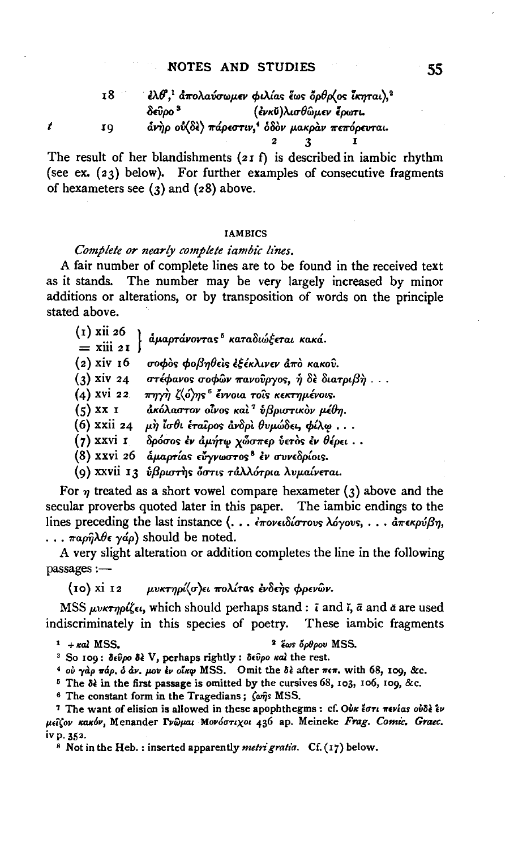#### **NOTES AND STUDIES**

| 18 | $\partial^2$ ελθ', άπολαύσωμεν φιλίας έως δρθρ(ος ΐκηται), <sup>2</sup> |
|----|-------------------------------------------------------------------------|
|    | (ἐνκὕ)λισθῶμεν ἔρωτι.<br>δεῦρο <sup>3</sup>                             |
| 10 | άνηρ ού (δε) πάρεστιν, όδον μακραν πεπόρευται.                          |
|    |                                                                         |

The result of her blandishments (21 f) is described in iambic rhythm (see ex. (23) below). For further examples of consecutive fragments of hexameters see  $(3)$  and  $(28)$  above.

#### **IAMBICS**

## Complete or nearly complete iambic lines.

A fair number of complete lines are to be found in the received text as it stands. The number may be very largely increased by minor additions or alterations, or by transposition of words on the principle stated above.

| $(1)$ xii 26<br>$=$ xiii 21 | άμαρτάνοντας <sup>5</sup> καταδιώξεται κακά.      |
|-----------------------------|---------------------------------------------------|
| $(z)$ xiv 16                | σοφὸς φοβηθεὶς ἐξέκλινεν ἀπὸ κακοῦ.               |
| $(3)$ xiv 24                | στέφανος σοφών πανούργος, ή δε διατριβή           |
| $(4)$ xvi 22                | πηγὴ ζ⟨ό⟩ης <sup>ε</sup> ἔννοια τοῖς κεκτημένοις. |
| $(5)$ XX I                  | ακόλαστον οίνος και <sup>τ</sup> ύβριστικον μέθη. |
| (6) xxii 24                 | μὴ ἶσθι ἐταῖρος ἀνδρὶ θυμώδει, φίλφ               |
| (7) xxvi 1                  | δρόσος έν άμήτω χὧσπερ ύετος έν θέρει             |
| (8) xxvi 26                 | άμαρτίας εύγνωστος <sup>8</sup> έν συνεδρίοις.    |
|                             | (9) xxvii 13 ύβριστής δοτις τάλλότρια λυμαίνεται. |

For  $\eta$  treated as a short vowel compare hexameter (3) above and the secular proverbs quoted later in this paper. The iambic endings to the ...  $\pi a \rho \hat{n} \lambda \theta \epsilon \gamma \hat{a} \rho$  should be noted.

A very slight alteration or addition completes the line in the following passages :-

(10) xi 12 μυκτηρί(σ)ει πολίτας ένδεης φρενών.

MSS  $\mu\nu\kappa\tau\nu\rho\zeta\epsilon\iota$ , which should perhaps stand: i and i,  $\bar{a}$  and  $\alpha$  are used indiscriminately in this species of poetry. These iambic fragments

#### $1 + \kappa a$  MSS.

 $\boldsymbol{t}$ 

<sup>3</sup> έως όρθρου MSS.

<sup>3</sup> So 109: δεύρο δέ V, perhaps rightly : δεύρο καί the rest.

<sup>4</sup> ού γάρ πάρ, ό άν. μου έν οΐκφ MSS. Omit the δε after πεπ. with 68, 109, &c.

<sup>5</sup> The  $\delta$ *i* in the first passage is omitted by the cursives 68, 103, 106, 109, &c.

<sup>6</sup> The constant form in the Tragedians;  $\zeta \omega \hat{\eta} s$  MSS.

<sup>7</sup> The want of elision is allowed in these apophthegms : cf. Our tori nevias outle iv μείζον κακόν, Menander Γνώμαι Μονόστιχοι 436 ap. Meineke Frag. Comic. Graec. iv p. 352.

<sup>8</sup> Not in the Heb.: inserted apparently *metri gratia*. Cf. (17) below.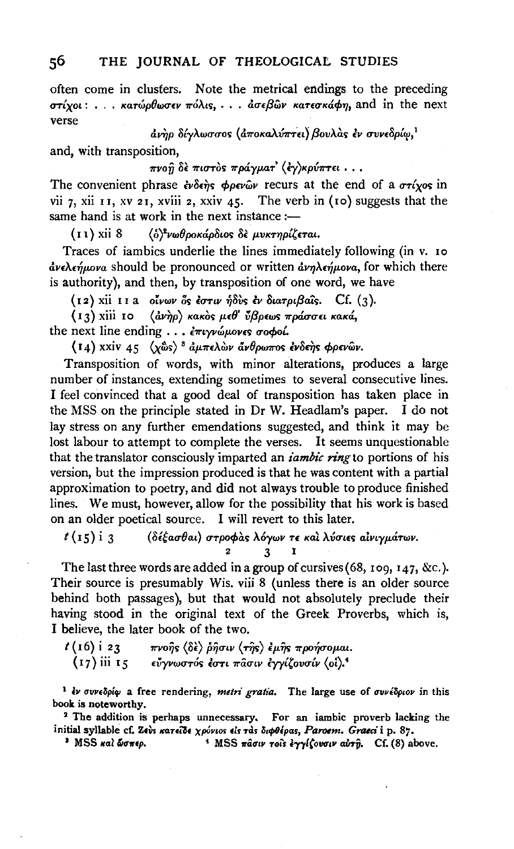often come in clusters. Note the metrical endings to the preceding  $\sigma\tau$ ίγοι: ... κατώρθωσεν πόλις, ... άσεβὣν κατεσκάφη, and in the next verse

άνηρ δίγλωσσος (άποκαλύπτει) βουλάς έν συνεδρίω,<sup>1</sup>

and, with transposition,

## πνοη δε πιστός πράγματ' (έγ)κρύπτει...

The convenient phrase  $\partial \hat{\theta}$  of  $\partial \rho \partial \hat{\theta}$  recurs at the end of a  $\sigma \tau \hat{\alpha}$  in vii 7, xii 11, xv 21, xviii 2, xxiv 45. The verb in (10) suggests that the same hand is at work in the next instance :-

 $(11)$  xii 8 (δ)<sup>2</sup>νωθροκάρδιος δε μυκτηρίζεται.

Traces of iambics underlie the lines immediately following (in v. 10 ανελεήμονα should be pronounced or written ανηλεήμονα, for which there is authority), and then, by transposition of one word, we have

(12) xii 11 a οίνων δς έστιν ήδὺς έν διατριβαΐς. Cf. (3).

(13) xiii 10 (ανήρ) κακός μεθ' ύβρεως πράσσει κακά,

the next line ending . . . επιγνώμονες σοφοί.

(14) xxiv 45  $\langle x\hat{\omega}s \rangle$ <sup>3</sup> άμπελών άνθρωπος ένδεης φρενών.

Transposition of words, with minor alterations, produces a large number of instances, extending sometimes to several consecutive lines. I feel convinced that a good deal of transposition has taken place in the MSS on the principle stated in Dr W. Headlam's paper. I do not lay stress on any further emendations suggested, and think it may be lost labour to attempt to complete the verses. It seems unquestionable that the translator consciously imparted an *iambic ring* to portions of his version, but the impression produced is that he was content with a partial approximation to poetry, and did not always trouble to produce finished lines. We must, however, allow for the possibility that his work is based on an older poetical source. I will revert to this later.

 $t(15)$  i 3 (δέξασθαι) στροφάς λόγων τε και λύσιες αίνιγμάτων. 2  $\mathbf{3}$ т

The last three words are added in a group of cursives  $(68, 109, 147, \&c.)$ . Their source is presumably Wis. viii 8 (unless there is an older source behind both passages), but that would not absolutely preclude their having stood in the original text of the Greek Proverbs, which is, I believe, the later book of the two.

 $t(16)$  i 23 πνοῆς  $\langle \delta$ ὲ $\rangle$  ῥῆσιν  $\langle \tau \hat{\eta}$ ς $\rangle$  ἐμῆς προήσομαι. (17) iii 15 εύγνωστός έστι πασιν έγγίζουσίν (οί).<sup>4</sup>

<sup>1</sup> έν συνεδρίφ a free rendering, metri gratia. The large use of συνέδριον in this book is noteworthy.

<sup>2</sup> The addition is perhaps unnecessary. For an iambic proverb lacking the initial syllable cf. Zeus κατείδε χρόνιοs είς τας διφθέρας, Paroem. Graeci i p. 87.

<sup>3</sup> MSS και ώσπερ. <sup>1</sup> MSS πάσιν τοιs έγγίζουσιν αύτη. Cf. (8) above.

56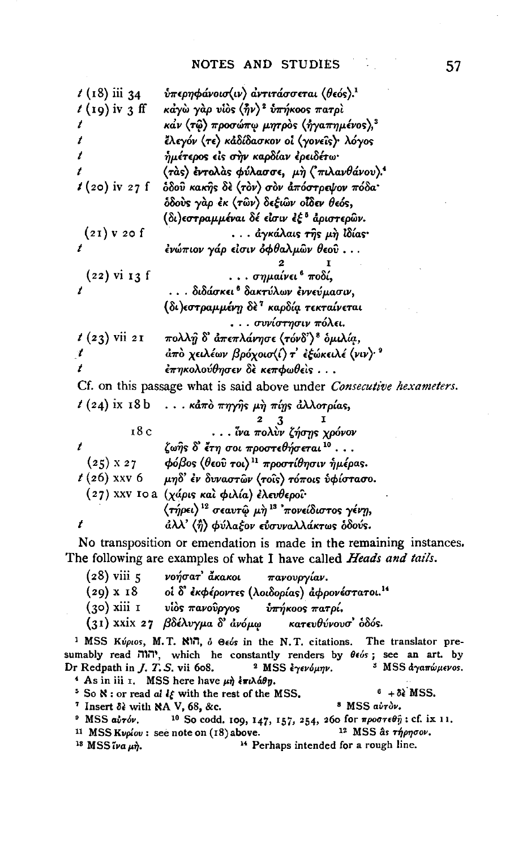| $t$ (19) iv 3 ff<br>κάγὼ γὰρ υίὸς (ἦν) <sup>2</sup> υπήκοος πατρί                                             |  |
|---------------------------------------------------------------------------------------------------------------|--|
|                                                                                                               |  |
| κάν (τῷ) προσώπῳ μητρὸς (ἠγαπημένος), <sup>3</sup>                                                            |  |
| έλεγόν (τε) κάδίδασκον οι (γονείς)· λόγος<br>t                                                                |  |
| ήμέτερος εἰς σὴν καρδίαν ἐρειδέτω·<br>t                                                                       |  |
| (τάς) έντολάς φύλασσε, μη ('πιλανθάνου).                                                                      |  |
| $t(20)$ iv 27 f<br>δδού κακής δε (τον) σον άπόστρεψον πόδα·                                                   |  |
| δδούς γάρ έκ (τῶν) δεξιῶν οἶδεν θεός,                                                                         |  |
| (δι)εστραμμέναι δέ είσιν ἐξ <sup>5</sup> ἀριστερῶν.                                                           |  |
| $(21)$ v 20 f<br>. ἀγκάλαις τῆς μὴ lδίας·                                                                     |  |
| ένώπιον γάρ είσιν όφθαλμῶν θεοῦ<br>t                                                                          |  |
|                                                                                                               |  |
| . σημαίνει <sup>6</sup> ποδί,<br>$(22)$ vi 13 f                                                               |  |
| $\boldsymbol{t}$<br>. διδάσκει <sup>ε</sup> δακτύλων έννεύμασιν,                                              |  |
| (δι)εστραμμένη δὲ <sup>τ</sup> καρδία τεκταίνεται                                                             |  |
| . συνίστησιν πόλει.                                                                                           |  |
| $t(23)$ vii 21<br>$\pi$ ολλ $\hat{\eta}$ δ' ἀπεπλάνησε $\langle \tau$ όνδ' $\rangle$ <sup>8</sup> ὁμιλί $q$ , |  |
| $d\pi$ ο χειλέων βρόχοισ $\langle i \rangle$ τ' εξώκειλέ $\langle v v \rangle$ .<br>t                         |  |
| έπηκολούθησεν δε κεπφωθείς                                                                                    |  |
| Cf. on this passage what is said above under Consecutive hexameters.                                          |  |
| $t(24)$ ix 18 b<br>κάπο πηγής μη πίης άλλοτρίας,                                                              |  |
| 3                                                                                                             |  |
| 18 c<br>ίνα πολύν ζήσης χρόνον                                                                                |  |
| t<br>ζωῆς δ' ἔτη σοι προστεθήσεται <sup>10</sup>                                                              |  |
| $(25)$ x 27<br>- φόβος (θεοῦ τοι) <sup>11</sup> προστίθησιν ἡμέρας.                                           |  |
| $t(26)$ xxv 6<br>μηδ' ἐν δυναστῶν (τοῖς) τόποις ὑφίστασο.                                                     |  |
| (27) XXV IO a (χάρις και φιλία) έλευθεροϊ·                                                                    |  |
| (τήρει) <sup>12</sup> σεαυτ <u>ώ μ</u> ὴ <sup>13</sup> 'πονείδιστος γένη,                                     |  |
| άλλ' (ή) φύλαξον εύσυναλλάκτως δδούς.<br>t                                                                    |  |

No transposition or emendation is made in the remaining instances. The following are examples of what I have called Heads and tails.

- νοήσατ' ἄκακοι τανουργίαν.  $(28)$  viii 5 (20) ...<br>(29) x 18 oίδεκφερο.<br>(- \ viii 1 vios πανούργος<br>(- x<sup>3</sup> dvous οί δ' έκφέροντες (λοιδορίας) άφρονέστατοι.<sup>14</sup> ύπήκοος πατρί,
- κατευθύνουσ' όδός. (31) xxix 27 βδέλυγμα δ' άνόμω

<sup>1</sup> MSS Κύριοs, M.T. KI7, δ Θεόs in the N.T. citations. The translator presumably read יהוה, which he constantly renders by  $\theta \epsilon$ os; see an art. by <sup>3</sup> MSS αγαπώμενος. Dr Redpath in  $J.$   $T.$   $S.$  vii 608. <sup>2</sup> MSS  $\frac{2}{3}$  MSS  $\frac{2}{3}$ 

- <sup>4</sup> As in iii 1. MSS here have  $\mu \eta$  επιλάθη.  $6 + \delta \epsilon$  MSS. <sup>5</sup> So  $\aleph$  : or read al  $i\xi$  with the rest of the MSS.
- <sup>7</sup> Insert  $\delta$ <sup>2</sup> with NA V, 68, &c. <sup>8</sup> MSS avrov.
- $9$  MSS  $a\dot{v}\tau\dot{\delta\nu}$ . <sup>10</sup> So codd. 109, 147, 157, 254, 260 for προστεθή: cf. ix 11.
- <sup>11</sup> MSS Kvoiov: see note on (18) above. <sup>12</sup> MSS às *rhpnoov*. <sup>14</sup> Perhaps intended for a rough line. <sup>18</sup> MSS  $\tilde{\iota}$ va  $\mu \tilde{\eta}$ .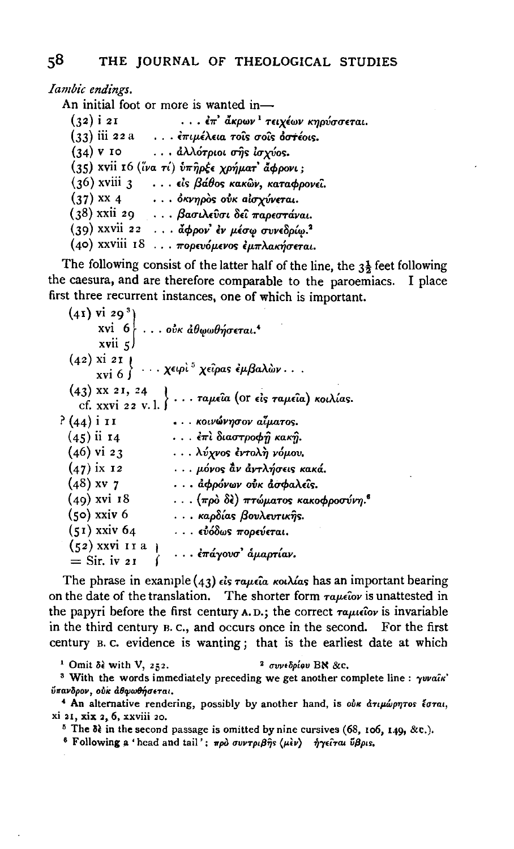Iambic endings.

An initial foot or more is wanted in-

| $(32)$ i 21     | έπ' ἄκρων <sup>ι</sup> τειχέων κηρύσσεται.   |
|-----------------|----------------------------------------------|
|                 | $(33)$ iii 22 a επιμέλεια τούς σούς δοτέοις. |
| $(34)$ v 10     | $\ldots$ αλλότριοι σ $\hat{\eta}$ s ίσχύοs.  |
|                 | (35) xvii 16 (ίνα τί) υπηρέε χρήματ' άφρονι; |
|                 | $(36)$ xviii 3 είς βάθος κακών, καταφρονεί.  |
| $(37)$ xx 4     | όκνηρος ούκ αίσχύνεται.                      |
| (38) xxii 29    | . βασιλεῦσι δεῖ παρεστάναι.                  |
| $(39)$ xxvii 22 | άφρον' έν μέσφ συνεδρίφ. <sup>2</sup>        |
|                 | (40) XXVIII 18 πορευόμενος εμπλακήσεται.     |

The following consist of the latter half of the line, the  $3\frac{1}{2}$  feet following the caesura, and are therefore comparable to the paroemiacs. I place first three recurrent instances, one of which is important.

 $(41)$  vi 29<sup>3</sup>) xvi  $6$  ... ούκ άθωωθήσεται.<sup>4</sup>  $\cdots$  του φουαι.<br> $\cdots$  χειρί <sup>5</sup> χείρας εμβαλών...  $xvii \leq 1$  $(42)$  xi 21 | xvi 6 $\int$  $(43)$  xx 21, 24<br>cf. xxvi 22 v. 1. } ... ταμεία (or είς ταμεία) κοιλίας. ? (44) і 11 ... κοινώνησον αίματος.  $(45)$  ii 14 ... έπι διαστροφή κακή. ... λύχνος έντολη νόμου.  $(46)$  vi 23  $(47)$  ix 12 ... μόνος άν άντλήσεις κακά.  $(48)$  xv 7 ... άφρόνων ούκ άσφαλεΐς.  $(49)$  xvi 18  $\ldots$  (πρὸ δὲ) πτώματος κακοφροσύνη.<sup>6</sup>  $(50)$  xxiv 6 . . . καρδίας βουλευτικής.  $(51)$  xxiv 64 . . . εὐόδως πορεύεται.  $(52)$  xxvi 11 a )<br>
(52) xxvi 11 a )<br>
(c) (αναφτύποιος δραφτίαν.  $=$  Sir. iv 21

The phrase in example (43)  $\epsilon$ is  $\tau a\mu \epsilon \hat{i} a$  κοιλίας has an important bearing on the date of the translation. The shorter form  $\tau a \mu c \tilde{\omega} v$  is unattested in the papyri before the first century  $A$ . D.; the correct  $\tau a \mu \epsilon \hat{i}$ ov is invariable in the third century B.C., and occurs once in the second. For the first century B.C. evidence is wanting; that is the earliest date at which

<sup>1</sup> Omit  $\delta \epsilon$  with V, 252. 2 συνεδρίου ΒΝ &c.

<sup>3</sup> With the words immediately preceding we get another complete line :  $\gamma v$ vain' ύπανδρον, ούκ άθφωθήσεται.

<sup>4</sup> An alternative rendering, possibly by another hand, is our drumporos toral, xi 21, xix 2, 6, xxviii 20.

<sup>5</sup> The  $\delta$ <sup>2</sup> in the second passage is omitted by nine cursives (68, 106, 149, &c.).

<sup>6</sup> Following a 'head and tail': πρό συντριβής (μεν) ήγειται ύβρις.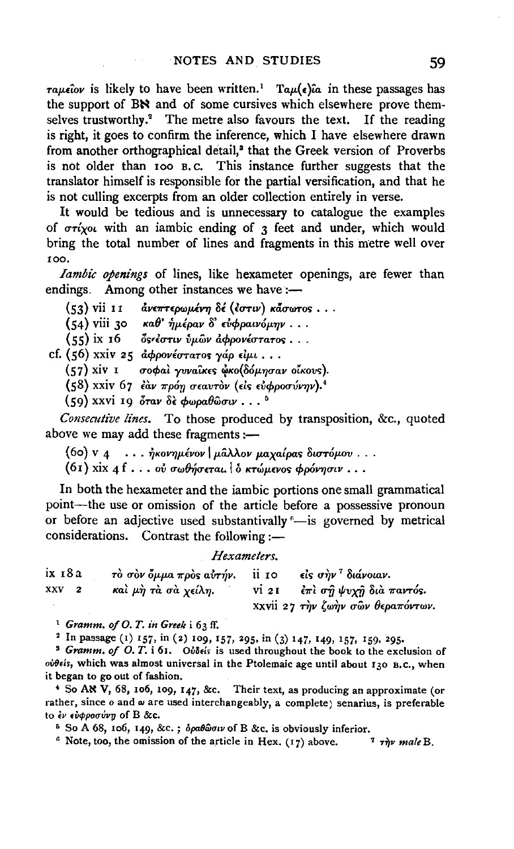$\tau a\mu\epsilon\hat{i}$  is likely to have been written.<sup>1</sup>  $Ta\mu(\epsilon)\hat{i}a$  in these passages has the support of BN and of some cursives which elsewhere prove themselves trustworthy.<sup>2</sup> The metre also favours the text. If the reading is right, it goes to confirm the inference, which I have elsewhere drawn from another orthographical detail,<sup>3</sup> that the Greek version of Proverbs is not older than 100 B.C. This instance further suggests that the translator himself is responsible for the partial versification, and that he is not culling excerpts from an older collection entirely in verse.

It would be tedious and is unnecessary to catalogue the examples of  $\sigma r$ ivor with an iambic ending of  $\tau$  feet and under, which would bring the total number of lines and fragments in this metre well over 100.

Iambic openings of lines, like hexameter openings, are fewer than endings. Among other instances we have:—

 $(53)$  vii 11 *άνεπτερωμένη δέ (έστιν) κάσωτος...* 

 $(54)$  viii 30 καθ' ήμέραν δ' ευφραινόμην...

 $(55)$  ix 16  $\delta$ s' εστιν ύμων αφρονέστατος...

cf. (56) xxiv 25 αφρονέστατος γάρειμι...

(57) xiv I σοφαί γυναίκες ώκο (δόμησαν οίκους).

(58) xxiv 67 εάν πρόη σεαυτόν (είς εύφροσύνην).<sup>4</sup>

 $(59)$  xxvi 19 όταν δε φωραθώσιν...<sup>5</sup>

Consecutive lines. To those produced by transposition, &c., quoted above we may add these fragments :-

 $(60)$  v 4 ... ήκονημένον | μάλλον μαχαίρας διστόμου...

 $(6t)$  xix 4 f . . . ου σωθήσεται.  $\delta$  κτώμενος φρόνησιν...

In both the hexameter and the iambic portions one small grammatical point—the use or omission of the article before a possessive pronoun or before an adjective used substantivally "-is governed by metrical considerations. Contrast the following :-

#### Hexameters.

| іх 18 а | τὸ σὸν ὄμμα πρὸς αὐτήν. ii τo eis σὴν <sup>τ</sup> διάνοιαν. |                                   |
|---------|--------------------------------------------------------------|-----------------------------------|
| XXV 2   | καὶ μὴ τὰ σὰ χείλη.                                          | vi 21 et al σή ψυχή δια παντός.   |
|         |                                                              | xxvii 27 την ζωήν σων θεραπόντων. |

<sup>1</sup> Gramm, of O.T. in Greek i 63 ff.

<sup>2</sup> In passage (1) 157, in (2) 109, 157, 295, in (3) 147, 149, 157, 159, 295.

<sup>3</sup> Gramm. of O. T. i 61. Oudeis is used throughout the book to the exclusion of ovolis, which was almost universal in the Ptolemaic age until about 130 B.C., when it began to go out of fashion.

<sup>4</sup> So AN V, 68, 106, 109, 147, &c. Their text, as producing an approximate (or rather, since o and  $\omega$  are used interchangeably, a complete) senarius, is preferable to έν εύφροσύνη of B &c.

<sup>5</sup> So A 68, 106, 149, &c.;  $\delta \rho a \theta \hat{\omega} \sigma \nu$  of B &c. is obviously inferior.

 $6$  Note, too, the omission of the article in Hex. (17) above.  $7$   $\tau$ *nv* male B.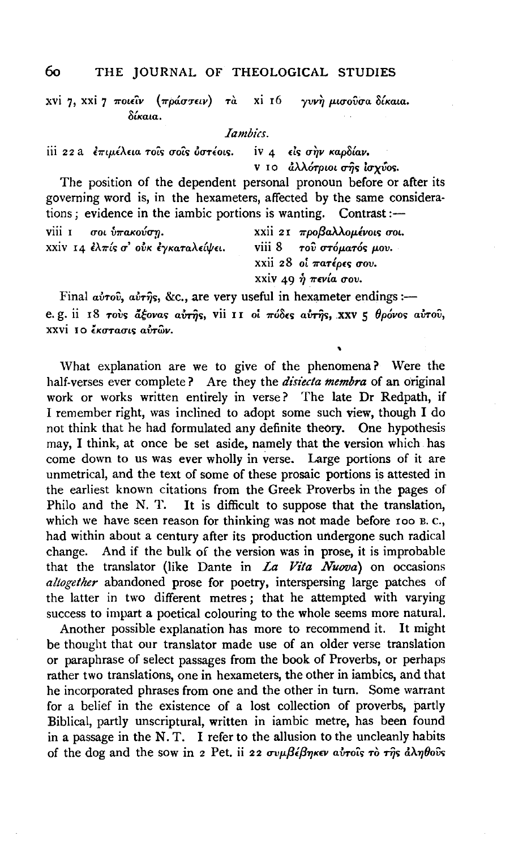## THE JOURNAL OF THEOLOGICAL STUDIES

xvi 7. xxi 7 ποιείν (πράστειν) τα xi 16 γυνή μισούσα δίκαια. δίκαια.

*<u>Iambics</u>* 

iii 22 a επιμέλεια τούς σούς όστέοις. iv 4 είς σην καρδίαν.

ν το άλλότριοι σής ίσχύος.

The position of the dependent personal pronoun before or after its governing word is, in the hexameters, affected by the same considerations : evidence in the iambic portions is wanting. Contrast :-

| viii 1 σοι ύπακούση.               | xxii 21 προβαλλομένοις σοι.                                           |
|------------------------------------|-----------------------------------------------------------------------|
| xxiv 14 ελπίς σ' ούκ εγκαταλείψει. | viii $8$ $70\overline{v}$ $\sigma t \omega a \sigma s$ $\mu \omega$ . |
|                                    | xxii 28 oi $\pi a \tau \epsilon \rho \epsilon s$ $\sigma \omega$ .    |
|                                    | xxiv 49 ή πενία σου.                                                  |

Final avrov, avrijs, &c., are very useful in hexameter endings :e. g. ii 18 rovs acovas avrus, vii 11 oi  $\pi\acute{o}\delta\epsilon s$  avrus, xxv  $\epsilon$  θρόνοs αυτού,  $xxvi$  το *έκατασις αυτών*.

What explanation are we to give of the phenomena? Were the half-verses ever complete? Are they the *disiecta membra* of an original work or works written entirely in verse? The late Dr Redpath, if I remember right, was inclined to adopt some such view, though I do not think that he had formulated any definite theory. One hypothesis may, I think, at once be set aside, namely that the version which has come down to us was ever wholly in verse. Large portions of it are unmetrical, and the text of some of these prosaic portions is attested in the earliest known citations from the Greek Proverbs in the pages of Philo and the N.T. It is difficult to suppose that the translation. which we have seen reason for thinking was not made before 100 B.C., had within about a century after its production undergone such radical change. And if the bulk of the version was in prose, it is improbable that the translator (like Dante in La Vita Nuova) on occasions allogether abandoned prose for poetry, interspersing large patches of the latter in two different metres; that he attempted with varying success to impart a poetical colouring to the whole seems more natural.

Another possible explanation has more to recommend it. It might be thought that our translator made use of an older verse translation or paraphrase of select passages from the book of Proverbs, or perhaps rather two translations, one in hexameters, the other in iambics, and that he incorporated phrases from one and the other in turn. Some warrant for a belief in the existence of a lost collection of proverbs, partly Biblical, partly unscriptural, written in iambic metre, has been found in a passage in the N.T. I refer to the allusion to the uncleanly habits of the dog and the sow in 2 Pet. ii 22  $\sigma v \mu \beta \epsilon \beta \eta \kappa \epsilon v$  avrois to this d $\lambda \eta \theta o v \hat{s}$ 

რი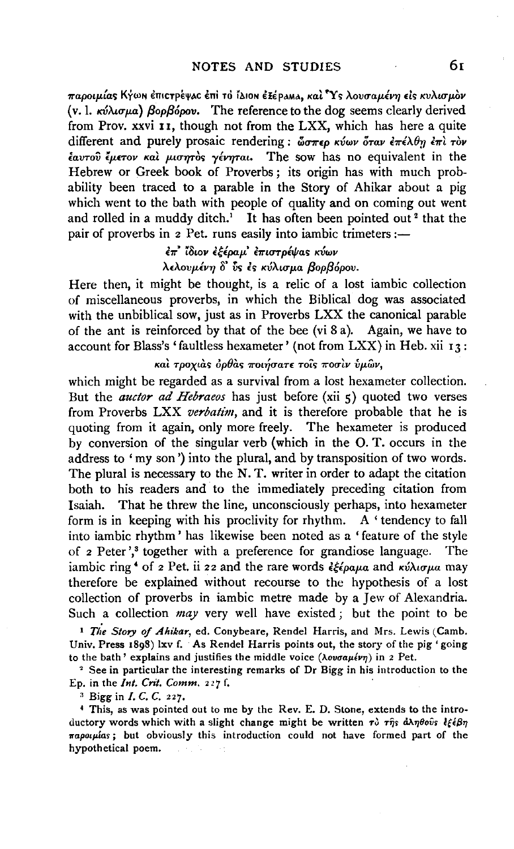$\pi$ αροιμίας Κγωη έπιςτρέψας έπι το ίλιοη έξέραμα, και <sup>τ</sup>Υς λουσαμένη είς κυλισμον (v. 1. *KVAtCTp.a} f3opf36pov.* The reference to the dog seems clearly derived from Prov. xxvi II, though not from the LXX, which has here a quite different and purely prosaic rendering :  $\omega \pi \epsilon \rho \kappa \omega \nu \delta \tau \alpha \nu \epsilon \pi \epsilon \lambda \theta \eta \epsilon \pi \nu \tau \omega \nu$  $ε$ <sub>αντο</sub>ύ *ζμετον και μισητός γένηται*. The sow has no equivalent in the Hebrew or Greek book of Proverbs; its origin has with much probability been traced to a parable in the Story of Ahikar about a pig which went to the bath with people of quality and on coming out went and rolled in a muddy ditch.<sup>1</sup> It has often been pointed out<sup>2</sup> that the pair of proverbs in 2 Pet. runs easily into iambic trimeters ;-

> e7r' *illwv Ulpap.' E1f'tCTTpt!f!a<; KVWV*   $\lambda$ ελουμένη δ' ύς ές κύλισμα βορβόρου.

Here then, it might be thought, is a relic of a lost iambic collection of miscellaneous proverbs, in which the Biblical dog was associated with the unbiblical sow, just as in Proverbs LXX the canonical parable of the ant is reinforced by that of the bee (vi 8 a). Again, we have to account for Blass's 'faultless hexameter' (not from  $LXX$ ) in Heb. xii 13:

*Kat τροχιάς ορθάς ποιήσατε τοίς ποσιν ύμων,* 

which might be regarded as a survival from a lost hexameter collection. But the *auctor ad Hebraeos* has just before (xii 5) quoted two verses from Proverbs LXX *verbatim,* and it is therefore probable that he is quoting from it again, only more freely. The hexameter is produced by conversion of the singular verb (which in the 0. T. occurs in the address to 'my son') into the plural, and by transposition of two words. The plural is necessary to the N. T. writer in order to adapt the citation both to his readers and to the immediately preceding citation from Isaiah. That he threw the line, unconsciously perhaps, into hexameter form is in keeping with his proclivity for rhythm. A ' tendency to fall into iambic rhythm' has likewise been noted as a 'feature of the style of 2 Peter',<sup>3</sup> together with a preference for grandiose language. The iambic ring<sup>4</sup> of 2 Pet. ii 22 and the rare words  $\frac{2\epsilon}{\epsilon} \frac{2\epsilon}{\rho a \mu a}$  and  $\frac{\kappa \hat{\lambda} \alpha \sigma \mu a}{\rho a}$  may therefore be explained without recourse to the hypothesis of a lost collection of proverbs in iambic metre made by a Jew of Alexandria. Such a collection *may* very well have existed ; but the point to be

<sup>I</sup>*Tie Story of Ahikar,* ed. Conybeare, Rendel Harris, and Mrs. Lewis (Camb. Univ. Press 1898) lxv f. As Rendel Harris points out, the story of the pig 'going to the bath' explains and justifies the middle voice  $(\lambda o\nu \sigma a\mu \ell \nu \eta)$  in 2 Pet.

<sup>2</sup> See in particular the interesting remarks of Dr Bigg in his introduction to the Ep. in the *Int. Crit. Comm.* 227 f.

" Bigg in *I. C. C.* 227.

4 This, as was pointed out to me by the Rev. E. D. Stone, extends to the introductory words which with a slight change might be written τὸ τῆς ἀληθοῦς *lξέβη 11'apo1pias;* but obviously this introduction could not have formed part of the hypothetical poem.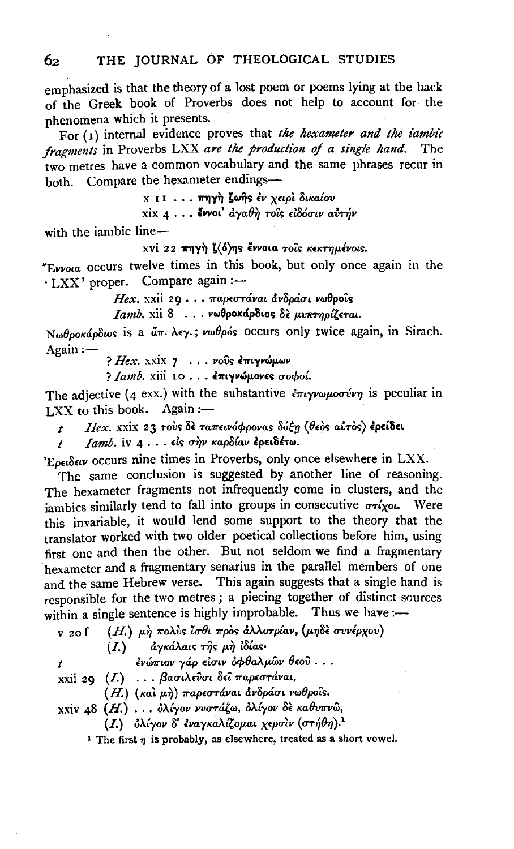emphasized is that the theory of a lost poem or poems lying at the back of the Greek book of Proverbs does not help to account for the phenomena which it presents.

For  $(1)$  internal evidence proves that the hexameter and the iambic fragments in Proverbs LXX are the production of a single hand. The two metres have a common vocabulary and the same phrases recur in both. Compare the hexameter endings-

**ΧΙΙ ... πηγή ζωής έν χειρί δικαίου** 

**xix 4** . . . εννοι' άγαθη τοίς ειδόσιν αυτήν

with the iambic line-

xvi 22 πηγή ζ(ό)ης έννοια τοΐς κεκτημένοις.

"Evvoia occurs twelve times in this book, but only once again in the 'LXX' proper. Compare again :-

Hex. xxii 29 . . . παρεστάναι ανδράσι νωθροΐς

*Iamb.* xii 8 . . . **vωθροκάρδιος** δε μυκτηρίζεται.

Νωθροκάρδως is a άπ. λεγ.; νωθρός occurs only twice again, in Sirach.  $Again:$ 

? Hex. xxix 7 . . . vous επιγνώμων

? Ιαmb. xiii 10... επιγνώμονες σοφοί.

The adjective (4 exx.) with the substantive  $\epsilon \pi \nu \gamma \nu \omega \mu \nu \sigma \nu \nu \gamma$  is peculiar in  $IXX$  to this book. Again :-

Hex. xxix 23 τους δε ταπεινόφρονας δόξη (θεός αύτος) έρείδει  $\mathbf{r}$ 

Jamb. iv 4... είς σήν καρδίαν έρειδέτω.  $\overline{t}$ 

'Ερειδειν occurs nine times in Proverbs, only once elsewhere in LXX.

The same conclusion is suggested by another line of reasoning. The hexameter fragments not infrequently come in clusters, and the jambics similarly tend to fall into groups in consecutive  $\sigma r$ iyou. Were this invariable, it would lend some support to the theory that the translator worked with two older poetical collections before him, using first one and then the other. But not seldom we find a fragmentary hexameter and a fragmentary senarius in the parallel members of one and the same Hebrew verse. This again suggests that a single hand is responsible for the two metres; a piecing together of distinct sources within a single sentence is highly improbable. Thus we have :-

| v <sub>20</sub> f | $(H.)$ μη πολύς ίσθι πρός άλλοτρίαν, (μηδέ συνέρχου)                            |
|-------------------|---------------------------------------------------------------------------------|
|                   | $(I.)$ αγκάλαις της μη ίδίας·                                                   |
|                   | ένώπιον γάρ είσιν όφθαλμῶν θεοῦ                                                 |
|                   | xxii 29 (I.) βασιλεύσι δεί παρεστάναι,                                          |
|                   | (Η.) (και μη) παρεστάναι ανδράσι νωθροΐς.                                       |
|                   | xxiv 48 (Η.) δλίγον νυστάζω, δλίγον δε καθυπνώ,                                 |
|                   | ( <i>I</i> .) δλίγον δ' εναγκαλίζομαι χερσιν (στήθη). <sup>1</sup>              |
|                   | <sup>1</sup> The first $n$ is probably, as elsewhere, treated as a short vowel. |

62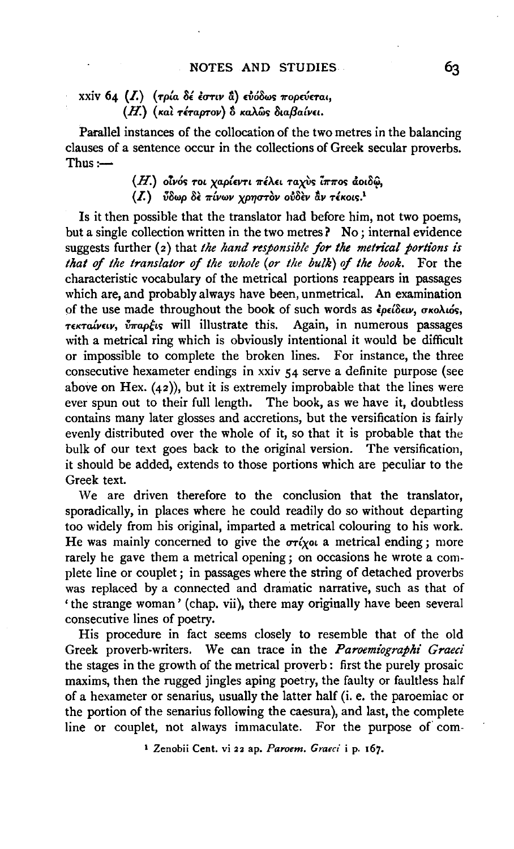## xxiv 64 (*I.*) (τρία δέ έστιν **δ**) εύόδως πορεύεται, (H.) (και τέταρτον) δ καλώς διαβαίνει.

Parallel instances of the collocation of the two metres in the balancing clauses of a sentence occur in the collections of Greek secular proverbs.  $Thus :=$ 

> $(H.)$  οίνός τοι χαρίεντι πέλει ταχὺς ίππος ἀοιδῷ, (I.) *ύδωρ δε πίνων χρηστον ουδεν αν τέκοις.*<sup>1</sup>

Is it then possible that the translator had before him, not two poems, but a single collection written in the two metres? No; internal evidence suggests further (2) that *the hand responsible for the metrical portions is that of the translator of the whole (or the bulk) of the book.* For the characteristic vocabulary of the metrical portions reappears in passages which are, and probably always have been, unmetrical. An examination of the use made throughout the book of such words as *ζρείδειν*, σκολιός, *Tεκταίνειν, ὖπαρξις* will illustrate this. Again, in numerous passages with a metrical ring which is obviously intentional it would be difficult or impossible to complete the broken lines. For instance, the three consecutive hexameter endings in xxiv 54 serve a definite purpose (see above on Hex.  $(42)$ , but it is extremely improbable that the lines were ever spun out to their full length. The book, as we have it, doubtless contains many later glosses and accretions, but the versification is fairly evenly distributed over the whole of it, so that it is probable that the bulk of our text goes back to the original version. The versification, it should be added, extends to those portions which are peculiar to the Greek text.

We are driven therefore to the conclusion that the translator, sporadically, in places where he could readily do so without departing too widely from his original, imparted a metrical colouring to his work. He was mainly concerned to give the  $\sigma r(x)$  a metrical ending; more rarely he gave them a metrical opening; on occasions he wrote a complete line or couplet ; in passages where the string of detached proverbs was replaced by a connected and dramatic narrative, such as that of 'the strange woman' (chap. vii), there may originally have been several consecutive lines of poetry.

His procedure in fact seems closely to resemble that of the old Greek proverb-writers. We can trace in the *Paroemiographi Graeci* the stages in the growth of the metrical proverb : first the purely prosaic maxims, then the rugged jingles aping poetry, the faulty or faultless half of a hexameter or senarius, usually the latter half (i. e. the paroemiac or the portion of the senarius following the caesura), and last, the complete line or couplet, not always immaculate. For the purpose of com-

1 Zenobii Cent. vi 22 ap. *Paroem. Graeci* i p. 167.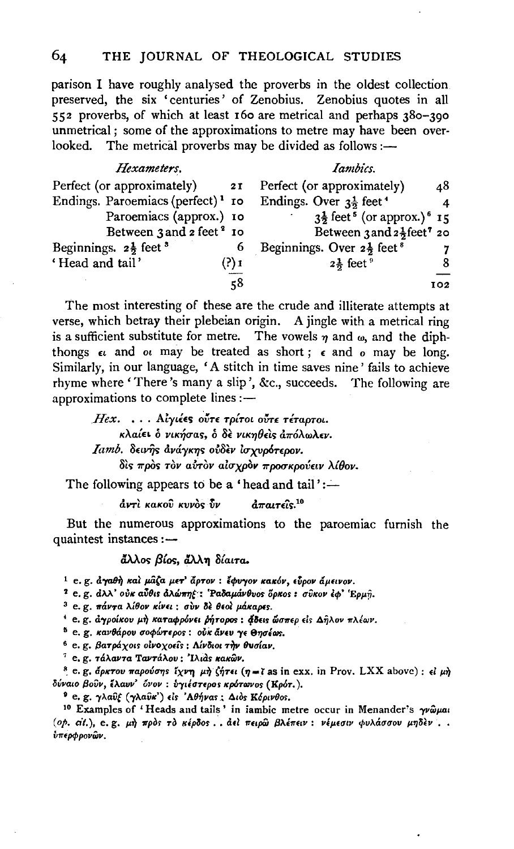parison I have roughly analysed the proverbs in the oldest collection preserved, the six 'centuries' of Zenobius. Zenobius quotes in all 552 proverbs, of which at least 160 are metrical and perhaps 380-390 unmetrical; some of the approximations to metre may have been overlooked. The metrical proverbs may be divided as follows :-

| Hexameters.                                   |      | Iambics.                                                      |     |
|-----------------------------------------------|------|---------------------------------------------------------------|-----|
| Perfect (or approximately)                    | 2I   | Perfect (or approximately)                                    | 48  |
| Endings. Paroemiacs (perfect) <sup>1</sup> ro |      | Endings. Over $3\frac{1}{2}$ feet <sup>4</sup>                | 4   |
| Paroemiacs (approx.) 10                       |      | $3\frac{1}{2}$ feet <sup>5</sup> (or approx.) <sup>6</sup> 15 |     |
| Between 3 and 2 feet <sup>2</sup> 10          |      | Between $3$ and $2\frac{1}{2}$ feet <sup>7</sup> 20           |     |
| Beginnings. $2\frac{1}{2}$ feet <sup>3</sup>  | 6    | Beginnings. Over $2\frac{1}{2}$ feet <sup>8</sup>             | 7   |
| 'Head and tail'                               | ?) 1 | $2\frac{1}{2}$ feet $^9$                                      | 8   |
|                                               | 58   |                                                               | 102 |

The most interesting of these are the crude and illiterate attempts at verse, which betray their plebeian origin. A jingle with a metrical ring is a sufficient substitute for metre. The vowels  $\eta$  and  $\omega$ , and the diphthongs  $\epsilon$  and  $\sigma$  may be treated as short;  $\epsilon$  and  $\sigma$  may be long. Similarly, in our language, 'A stitch in time saves nine' fails to achieve rhyme where 'There's many a slip', &c., succeeds. The following are approximations to complete lines :-

Hex. ... Αίγιέες ούτε τρίτοι ούτε τέταρτοι. κλαίει ο νικήσας, ο δε νικηθείς απόλωλεν. Iamb. δεινής ανάγκης ούδεν ισχυρότερον. δις πρός τον αύτον αίσχρον προσκρούειν λίθον.

The following appears to be a 'head and tail':—

άντι κακού κυνός ΰν  $\hat{a}\pi a$ ureis.<sup>10</sup>

But the numerous approximations to the paroemiac furnish the quaintest instances  $:$   $-$ 

άλλος βίος, άλλη δίαιτα.

<sup>1</sup> e. g. άγαθή και μάζα μετ' άρτον: έφυγον κακόν, εύρον άμεινον.

<sup>2</sup> e. g. dλλ' ούκ αύθις άλώπης: 'Ραδαμάνθυος όρκος: σύκον έφ' 'Ερμή.

<sup>3</sup> e.g. πάντα λίθον κίνει: σὺν δε θεοί μάκαρες.

<sup>4</sup> e. g. άγροίκου μή καταφρόνει ρήτορος: άδεις ώσπερ είς Δήλον πλέων.

<sup>5</sup> e. g. κανθάρου σοφώτερος: ούκ άνευ γε θησέως.

<sup>6</sup> e. g. βατράχοις οίνοχοείς: Λίνδιοι την θυσίαν.

<sup>7</sup> e. g. τάλαντα Ταντάλου: 'Ιλιάς κακών.

<sup>8</sup> e.g. άρκτου παρούσης ίχνη μη ζήτει (η=ί as in exx. in Prov. LXX above) : εί μη δύναιο βούν, έλαυν' όνον: υγιέστερος κρότωνος (Κρότ.).

<sup>9</sup> e. g. γλαῦξ (γλαῦκ') είς 'Αθήνας: Διὸς Κόρινθος.

<sup>10</sup> Examples of 'Heads and tails' in iambic metre occur in Menander's  $\gamma \omega \omega a$ (op. cit.), e.g. μή πρός το κέρδος.. άει πειρώ βλέπειν: νέμεσιν φυλάσσου μηδεν.. ύπερφρονῶν.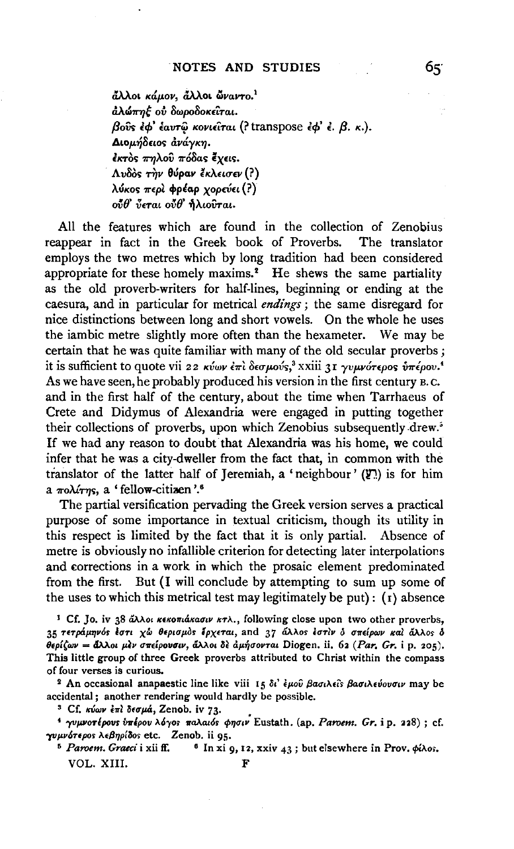άλλοι κάμον, άλλοι ώναντο.<sup>1</sup> άλώπηξ ού δωροδοκείται. βούς έφ' έαυτώ κονιείται (? transpose έφ' έ. β. κ.). Διομήδειος άνάγκη. έκτος πηλού πόδας έχεις. Λυδός την θύραν έκλεισεν (?) λύκος περί φρέαρ χορεύει (?)  $o\tilde{v}\theta$  ύεται ούθ' ήλιούται.

All the features which are found in the collection of Zenobius reappear in fact in the Greek book of Proverbs. The translator employs the two metres which by long tradition had been considered appropriate for these homely maxims.<sup>2</sup> He shews the same partiality as the old proverb-writers for half-lines, beginning or ending at the caesura, and in particular for metrical endings; the same disregard for nice distinctions between long and short vowels. On the whole he uses the iambic metre slightly more often than the hexameter. We may be certain that he was quite familiar with many of the old secular proverbs; it is sufficient to quote vii 22  $\kappa v \omega \nu \epsilon \pi i \delta \epsilon \sigma \mu \omega \nu s$ <sup>3</sup> xxiii 31  $\gamma v \mu \nu \sigma \tau \epsilon \rho \sigma s$   $\delta \pi \epsilon \rho \sigma v$ <sup>4</sup> As we have seen, he probably produced his version in the first century B.C. and in the first half of the century, about the time when Tarrhaeus of Crete and Didymus of Alexandria were engaged in putting together their collections of proverbs, upon which Zenobius subsequently drew.<sup>5</sup> If we had any reason to doubt that Alexandria was his home, we could infer that he was a city-dweller from the fact that, in common with the translator of the latter half of Jeremiah, a 'neighbour' (!) is for him a *nolúrns*, a 'fellow-citizen'.<sup>6</sup>

The partial versification pervading the Greek version serves a practical purpose of some importance in textual criticism, though its utility in this respect is limited by the fact that it is only partial. Absence of metre is obviously no infallible criterion for detecting later interpolations and corrections in a work in which the prosaic element predominated from the first. But (I will conclude by attempting to sum up some of the uses to which this metrical test may legitimately be put):  $(1)$  absence

<sup>1</sup> Cf. Jo. iv 38 άλλοι κεκοπιάκασιν κτλ., following close upon two other proverbs, 35 τετράμηνός έστι χώ θερισμός έρχεται, and 37 άλλος έστιν ο σπείρων και άλλος δ θερίζων = άλλοι μεν σπείρουσιν, άλλοι δε άμήσονται Diogen. ii. 62 (Par. Gr. i p. 205). This little group of three Greek proverbs attributed to Christ within the compass of four verses is curious.

<sup>2</sup> An occasional anapaestic line like viii 15 δι' έμου βασιλείς βασιλεύουσιν may be accidental; another rendering would hardly be possible.

<sup>3</sup> Cf. κύων έπι δεσμά, Zenob. iv 73.

<sup>4</sup> γυμνοτέρους υπέρου λόγος παλαιός φησιν Eustath. (ap. Paroem. Gr. i p. 228); cf. γυμνότερος λεβηρίδος etc. Zenob. ii 95.

<sup>5</sup> Paroem. Graeci i xii ff. <sup>6</sup> In xi 9, 12, xxiv 43 ; but elsewhere in Prov.  $\phi$ ίλοs. VOL. XIII. F